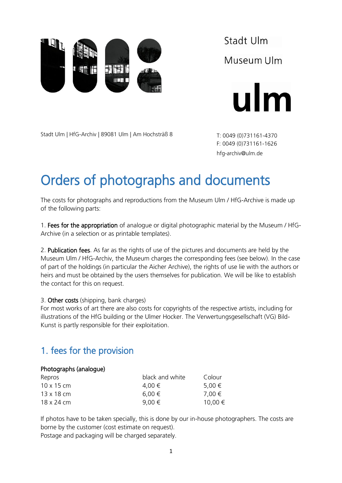

Stadt Ulm Museum Ulm



Stadt Ulm | HfG-Archiv | 89081 Ulm | Am Hochsträß 8

T: 0049 (0)731161-4370 F: 0049 (0)731161-1626 hfg-archiv@ulm.de

# Orders of photographs and documents

The costs for photographs and reproductions from the Museum Ulm / HfG-Archive is made up of the following parts:

1. Fees for the appropriation of analogue or digital photographic material by the Museum / HfG-Archive (in a selection or as printable templates).

2. Publication fees. As far as the rights of use of the pictures and documents are held by the Museum Ulm / HfG-Archiv, the Museum charges the corresponding fees (see below). In the case of part of the holdings (in particular the Aicher Archive), the rights of use lie with the authors or heirs and must be obtained by the users themselves for publication. We will be like to establish the contact for this on request.

3. Other costs (shipping, bank charges)

For most works of art there are also costs for copyrights of the respective artists, including for illustrations of the HfG building or the Ulmer Hocker. The Verwertungsgesellschaft (VG) Bild-Kunst is partly responsible for their exploitation.

## 1. fees for the provision

### Photographs (analogue)

| Repros            | black and white | Colour      |
|-------------------|-----------------|-------------|
| $10 \times 15$ cm | 4.00 €          | 5,00 €      |
| $13 \times 18$ cm | $6,00 \in$      | 7,00 €      |
| 18 x 24 cm        | 9,00 €          | $10,00 \in$ |

If photos have to be taken specially, this is done by our in-house photographers. The costs are borne by the customer (cost estimate on request).

Postage and packaging will be charged separately.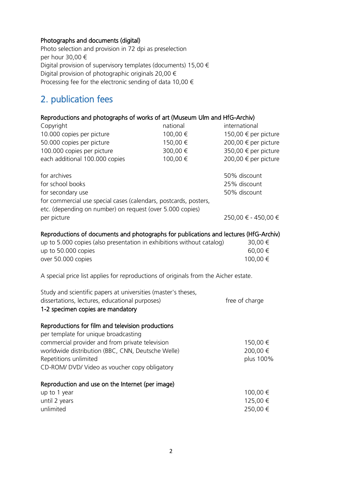#### Photographs and documents (digital)

Photo selection and provision in 72 dpi as preselection per hour 30,00 € Digital provision of supervisory templates (documents) 15,00 € Digital provision of photographic originals 20,00  $\in$ Processing fee for the electronic sending of data 10,00  $\epsilon$ 

## 2. publication fees

### Reproductions and photographs of works of art (Museum Ulm and HfG-Archiv)

| Copyright                                                                             | national | international        |  |  |
|---------------------------------------------------------------------------------------|----------|----------------------|--|--|
| 10.000 copies per picture                                                             | 100,00 € | 150,00 € per picture |  |  |
| 50.000 copies per picture                                                             | 150,00 € | 200,00 € per picture |  |  |
| 100.000 copies per picture                                                            | 300,00 € | 350,00 € per picture |  |  |
| each additional 100.000 copies                                                        | 100,00 € | 200,00 € per picture |  |  |
|                                                                                       |          |                      |  |  |
| for archives                                                                          |          | 50% discount         |  |  |
| for school books                                                                      |          | 25% discount         |  |  |
| for secondary use                                                                     |          | 50% discount         |  |  |
| for commercial use special cases (calendars, postcards, posters,                      |          |                      |  |  |
| etc. (depending on number) on request (over 5.000 copies)                             |          |                      |  |  |
| per picture                                                                           |          | 250,00 € - 450,00 €  |  |  |
|                                                                                       |          |                      |  |  |
| Reproductions of documents and photographs for publications and lectures (HfG-Archiv) |          |                      |  |  |
| up to 5.000 copies (also presentation in exhibitions without catalog)                 |          | 30,00 €              |  |  |
| up to 50.000 copies                                                                   |          | 60,00 €              |  |  |
| over 50.000 copies                                                                    |          | 100,00 €             |  |  |
|                                                                                       |          |                      |  |  |
| A special price list applies for reproductions of originals from the Aicher estate.   |          |                      |  |  |
| Study and scientific papers at universities (master's theses,                         |          |                      |  |  |
| dissertations, lectures, educational purposes)                                        |          | free of charge       |  |  |
|                                                                                       |          |                      |  |  |
| 1-2 specimen copies are mandatory                                                     |          |                      |  |  |
| Reproductions for film and television productions                                     |          |                      |  |  |
| per template for unique broadcasting                                                  |          |                      |  |  |
| commercial provider and from private television                                       |          | 150,00 €             |  |  |
| worldwide distribution (BBC, CNN, Deutsche Welle)                                     |          | 200,00 €             |  |  |
|                                                                                       |          |                      |  |  |
| Repetitions unlimited                                                                 |          | plus 100%            |  |  |
| CD-ROM/ DVD/ Video as voucher copy obligatory                                         |          |                      |  |  |
| Reproduction and use on the Internet (per image)                                      |          |                      |  |  |
| up to 1 year                                                                          |          | 100,00 €             |  |  |
| until 2 years                                                                         |          |                      |  |  |
|                                                                                       |          | 125,00 €             |  |  |